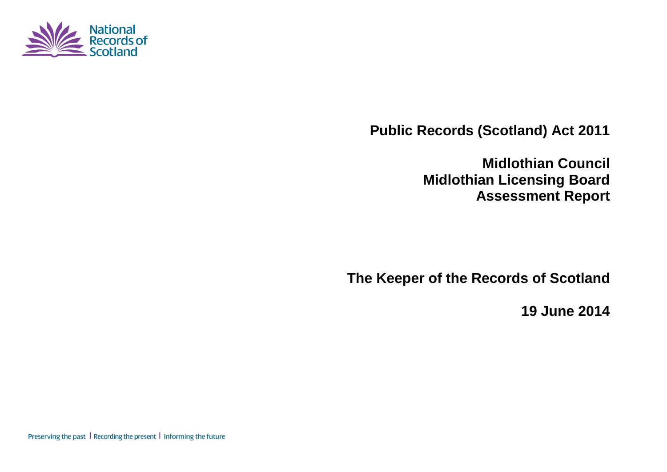

**Public Records (Scotland) Act 2011**

**Midlothian Council Midlothian Licensing Board Assessment Report**

**The Keeper of the Records of Scotland**

**19 June 2014**

Preserving the past | Recording the present | Informing the future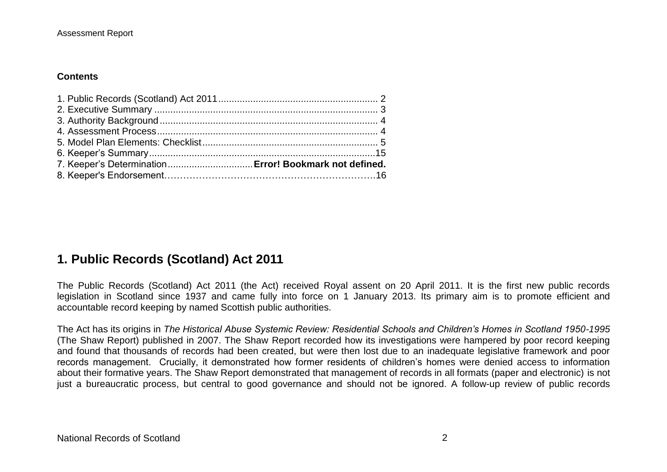#### **Contents**

# **1. Public Records (Scotland) Act 2011**

The Public Records (Scotland) Act 2011 (the Act) received Royal assent on 20 April 2011. It is the first new public records legislation in Scotland since 1937 and came fully into force on 1 January 2013. Its primary aim is to promote efficient and accountable record keeping by named Scottish public authorities.

The Act has its origins in *The Historical Abuse Systemic Review: Residential Schools and Children's Homes in Scotland 1950-1995* (The Shaw Report) published in 2007. The Shaw Report recorded how its investigations were hampered by poor record keeping and found that thousands of records had been created, but were then lost due to an inadequate legislative framework and poor records management. Crucially, it demonstrated how former residents of children's homes were denied access to information about their formative years. The Shaw Report demonstrated that management of records in all formats (paper and electronic) is not just a bureaucratic process, but central to good governance and should not be ignored. A follow-up review of public records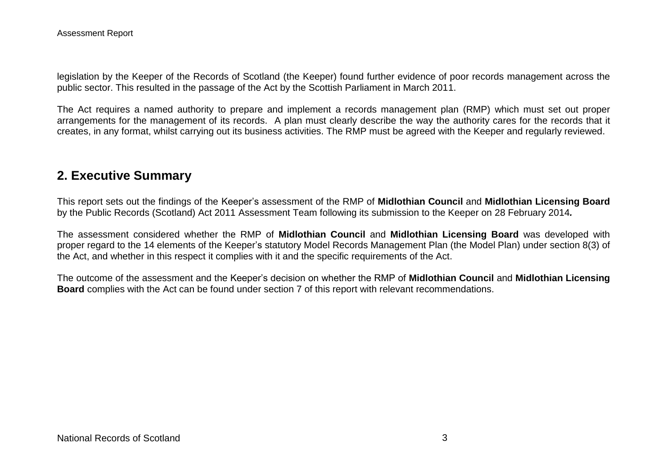legislation by the Keeper of the Records of Scotland (the Keeper) found further evidence of poor records management across the public sector. This resulted in the passage of the Act by the Scottish Parliament in March 2011.

The Act requires a named authority to prepare and implement a records management plan (RMP) which must set out proper arrangements for the management of its records. A plan must clearly describe the way the authority cares for the records that it creates, in any format, whilst carrying out its business activities. The RMP must be agreed with the Keeper and regularly reviewed.

### **2. Executive Summary**

This report sets out the findings of the Keeper's assessment of the RMP of **Midlothian Council** and **Midlothian Licensing Board** by the Public Records (Scotland) Act 2011 Assessment Team following its submission to the Keeper on 28 February 2014*.*

The assessment considered whether the RMP of **Midlothian Council** and **Midlothian Licensing Board** was developed with proper regard to the 14 elements of the Keeper's statutory Model Records Management Plan (the Model Plan) under section 8(3) of the Act, and whether in this respect it complies with it and the specific requirements of the Act.

The outcome of the assessment and the Keeper's decision on whether the RMP of **Midlothian Council** and **Midlothian Licensing Board** complies with the Act can be found under section 7 of this report with relevant recommendations.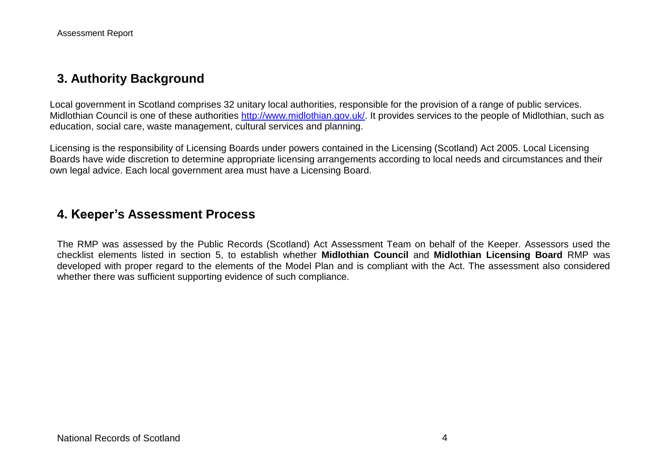## **3. Authority Background**

Local government in Scotland comprises 32 unitary local authorities, responsible for the provision of a range of public services. Midlothian Council is one of these authorities http://www.midlothian.gov.uk/. It provides services to the people of Midlothian, such as education, social care, waste management, cultural services and planning.

Licensing is the responsibility of Licensing Boards under powers contained in the Licensing (Scotland) Act 2005. Local Licensing Boards have wide discretion to determine appropriate licensing arrangements according to local needs and circumstances and their own legal advice. Each local government area must have a Licensing Board.

### **4. Keeper's Assessment Process**

The RMP was assessed by the Public Records (Scotland) Act Assessment Team on behalf of the Keeper. Assessors used the checklist elements listed in section 5, to establish whether **Midlothian Council** and **Midlothian Licensing Board** RMP was developed with proper regard to the elements of the Model Plan and is compliant with the Act. The assessment also considered whether there was sufficient supporting evidence of such compliance.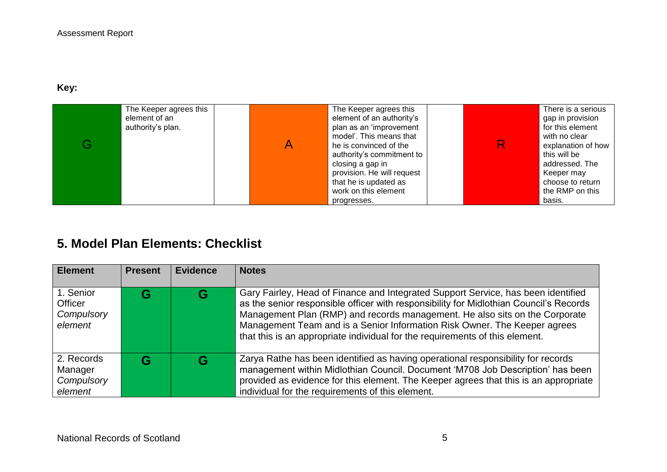#### **Key:**

| The Keeper agrees this<br>element of an<br>authority's plan. | The Keeper agrees this<br>element of an authority's<br>plan as an 'improvement<br>model'. This means that<br>he is convinced of the<br>authority's commitment to<br>closing a gap in<br>provision. He will request<br>that he is updated as<br>work on this element | R | There is a serious<br>gap in provision<br>for this element<br>with no clear<br>explanation of how<br>this will be<br>addressed. The<br>Keeper may<br>choose to return<br>the RMP on this |
|--------------------------------------------------------------|---------------------------------------------------------------------------------------------------------------------------------------------------------------------------------------------------------------------------------------------------------------------|---|------------------------------------------------------------------------------------------------------------------------------------------------------------------------------------------|
|                                                              | progresses.                                                                                                                                                                                                                                                         |   | basis.                                                                                                                                                                                   |

# **5. Model Plan Elements: Checklist**

| <b>Element</b>                                 | <b>Present</b> | <b>Evidence</b> | <b>Notes</b>                                                                                                                                                                                                                                                                                                                                                                                                            |
|------------------------------------------------|----------------|-----------------|-------------------------------------------------------------------------------------------------------------------------------------------------------------------------------------------------------------------------------------------------------------------------------------------------------------------------------------------------------------------------------------------------------------------------|
| 1. Senior<br>Officer<br>Compulsory<br>element  | G              | G               | Gary Fairley, Head of Finance and Integrated Support Service, has been identified<br>as the senior responsible officer with responsibility for Midlothian Council's Records<br>Management Plan (RMP) and records management. He also sits on the Corporate<br>Management Team and is a Senior Information Risk Owner. The Keeper agrees<br>that this is an appropriate individual for the requirements of this element. |
| 2. Records<br>Manager<br>Compulsory<br>element | G              | G               | Zarya Rathe has been identified as having operational responsibility for records<br>management within Midlothian Council. Document 'M708 Job Description' has been<br>provided as evidence for this element. The Keeper agrees that this is an appropriate<br>individual for the requirements of this element.                                                                                                          |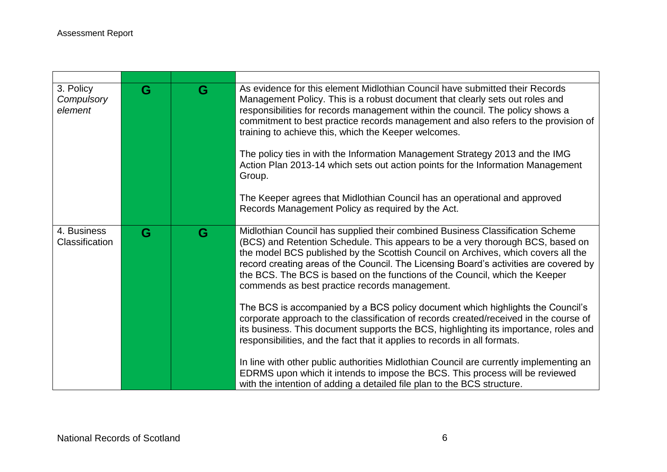| 3. Policy<br>Compulsory<br>element | G | G | As evidence for this element Midlothian Council have submitted their Records<br>Management Policy. This is a robust document that clearly sets out roles and<br>responsibilities for records management within the council. The policy shows a<br>commitment to best practice records management and also refers to the provision of<br>training to achieve this, which the Keeper welcomes.<br>The policy ties in with the Information Management Strategy 2013 and the IMG<br>Action Plan 2013-14 which sets out action points for the Information Management<br>Group.<br>The Keeper agrees that Midlothian Council has an operational and approved<br>Records Management Policy as required by the Act. |
|------------------------------------|---|---|-------------------------------------------------------------------------------------------------------------------------------------------------------------------------------------------------------------------------------------------------------------------------------------------------------------------------------------------------------------------------------------------------------------------------------------------------------------------------------------------------------------------------------------------------------------------------------------------------------------------------------------------------------------------------------------------------------------|
|                                    |   |   |                                                                                                                                                                                                                                                                                                                                                                                                                                                                                                                                                                                                                                                                                                             |
| 4. Business<br>Classification      | G | G | Midlothian Council has supplied their combined Business Classification Scheme<br>(BCS) and Retention Schedule. This appears to be a very thorough BCS, based on<br>the model BCS published by the Scottish Council on Archives, which covers all the<br>record creating areas of the Council. The Licensing Board's activities are covered by<br>the BCS. The BCS is based on the functions of the Council, which the Keeper<br>commends as best practice records management.                                                                                                                                                                                                                               |
|                                    |   |   | The BCS is accompanied by a BCS policy document which highlights the Council's<br>corporate approach to the classification of records created/received in the course of<br>its business. This document supports the BCS, highlighting its importance, roles and<br>responsibilities, and the fact that it applies to records in all formats.                                                                                                                                                                                                                                                                                                                                                                |
|                                    |   |   | In line with other public authorities Midlothian Council are currently implementing an<br>EDRMS upon which it intends to impose the BCS. This process will be reviewed<br>with the intention of adding a detailed file plan to the BCS structure.                                                                                                                                                                                                                                                                                                                                                                                                                                                           |

,我们也不会有什么。""我们的人,我们也不会有什么?""我们的人,我们也不会有什么?""我们的人,我们也不会有什么?""我们的人,我们也不会有什么?""我们的人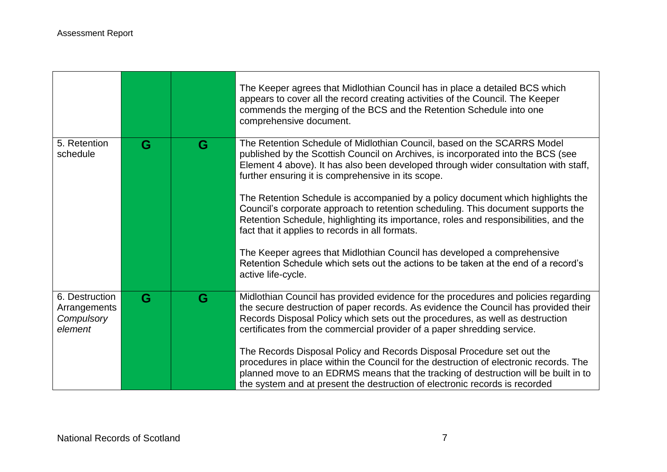|                                                         |   |   | The Keeper agrees that Midlothian Council has in place a detailed BCS which<br>appears to cover all the record creating activities of the Council. The Keeper<br>commends the merging of the BCS and the Retention Schedule into one<br>comprehensive document.                                                                       |
|---------------------------------------------------------|---|---|---------------------------------------------------------------------------------------------------------------------------------------------------------------------------------------------------------------------------------------------------------------------------------------------------------------------------------------|
| 5. Retention<br>schedule                                | G | G | The Retention Schedule of Midlothian Council, based on the SCARRS Model<br>published by the Scottish Council on Archives, is incorporated into the BCS (see<br>Element 4 above). It has also been developed through wider consultation with staff,<br>further ensuring it is comprehensive in its scope.                              |
|                                                         |   |   | The Retention Schedule is accompanied by a policy document which highlights the<br>Council's corporate approach to retention scheduling. This document supports the<br>Retention Schedule, highlighting its importance, roles and responsibilities, and the<br>fact that it applies to records in all formats.                        |
|                                                         |   |   | The Keeper agrees that Midlothian Council has developed a comprehensive<br>Retention Schedule which sets out the actions to be taken at the end of a record's<br>active life-cycle.                                                                                                                                                   |
| 6. Destruction<br>Arrangements<br>Compulsory<br>element | G | G | Midlothian Council has provided evidence for the procedures and policies regarding<br>the secure destruction of paper records. As evidence the Council has provided their<br>Records Disposal Policy which sets out the procedures, as well as destruction<br>certificates from the commercial provider of a paper shredding service. |
|                                                         |   |   | The Records Disposal Policy and Records Disposal Procedure set out the<br>procedures in place within the Council for the destruction of electronic records. The<br>planned move to an EDRMS means that the tracking of destruction will be built in to<br>the system and at present the destruction of electronic records is recorded |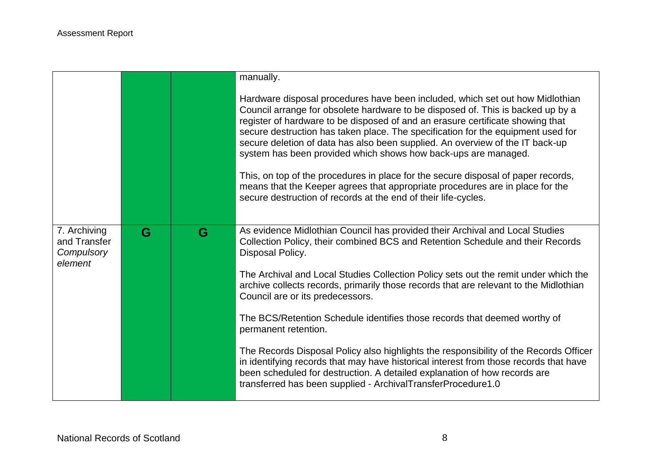|                                                       |   |   | manually.                                                                                                                                                                                                                                                                                                                                                                                                                                                                                                                                                                                                                                                                                                                                                                                                                                  |
|-------------------------------------------------------|---|---|--------------------------------------------------------------------------------------------------------------------------------------------------------------------------------------------------------------------------------------------------------------------------------------------------------------------------------------------------------------------------------------------------------------------------------------------------------------------------------------------------------------------------------------------------------------------------------------------------------------------------------------------------------------------------------------------------------------------------------------------------------------------------------------------------------------------------------------------|
|                                                       |   |   | Hardware disposal procedures have been included, which set out how Midlothian<br>Council arrange for obsolete hardware to be disposed of. This is backed up by a<br>register of hardware to be disposed of and an erasure certificate showing that<br>secure destruction has taken place. The specification for the equipment used for<br>secure deletion of data has also been supplied. An overview of the IT back-up<br>system has been provided which shows how back-ups are managed.<br>This, on top of the procedures in place for the secure disposal of paper records,<br>means that the Keeper agrees that appropriate procedures are in place for the<br>secure destruction of records at the end of their life-cycles.                                                                                                          |
| 7. Archiving<br>and Transfer<br>Compulsory<br>element | G | G | As evidence Midlothian Council has provided their Archival and Local Studies<br>Collection Policy, their combined BCS and Retention Schedule and their Records<br>Disposal Policy.<br>The Archival and Local Studies Collection Policy sets out the remit under which the<br>archive collects records, primarily those records that are relevant to the Midlothian<br>Council are or its predecessors.<br>The BCS/Retention Schedule identifies those records that deemed worthy of<br>permanent retention.<br>The Records Disposal Policy also highlights the responsibility of the Records Officer<br>in identifying records that may have historical interest from those records that have<br>been scheduled for destruction. A detailed explanation of how records are<br>transferred has been supplied - ArchivalTransferProcedure1.0 |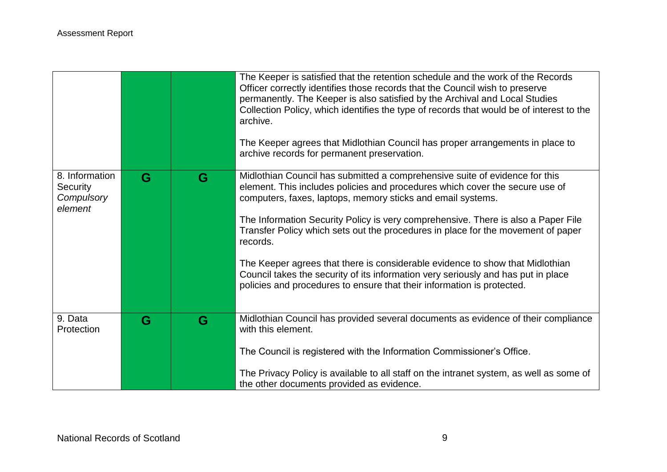|                                                            |   |   | The Keeper is satisfied that the retention schedule and the work of the Records<br>Officer correctly identifies those records that the Council wish to preserve<br>permanently. The Keeper is also satisfied by the Archival and Local Studies<br>Collection Policy, which identifies the type of records that would be of interest to the<br>archive.<br>The Keeper agrees that Midlothian Council has proper arrangements in place to<br>archive records for permanent preservation.                                                                                                                                                                          |
|------------------------------------------------------------|---|---|-----------------------------------------------------------------------------------------------------------------------------------------------------------------------------------------------------------------------------------------------------------------------------------------------------------------------------------------------------------------------------------------------------------------------------------------------------------------------------------------------------------------------------------------------------------------------------------------------------------------------------------------------------------------|
| 8. Information<br><b>Security</b><br>Compulsory<br>element | G | G | Midlothian Council has submitted a comprehensive suite of evidence for this<br>element. This includes policies and procedures which cover the secure use of<br>computers, faxes, laptops, memory sticks and email systems.<br>The Information Security Policy is very comprehensive. There is also a Paper File<br>Transfer Policy which sets out the procedures in place for the movement of paper<br>records.<br>The Keeper agrees that there is considerable evidence to show that Midlothian<br>Council takes the security of its information very seriously and has put in place<br>policies and procedures to ensure that their information is protected. |
| 9. Data<br>Protection                                      | G | G | Midlothian Council has provided several documents as evidence of their compliance<br>with this element.<br>The Council is registered with the Information Commissioner's Office.<br>The Privacy Policy is available to all staff on the intranet system, as well as some of<br>the other documents provided as evidence.                                                                                                                                                                                                                                                                                                                                        |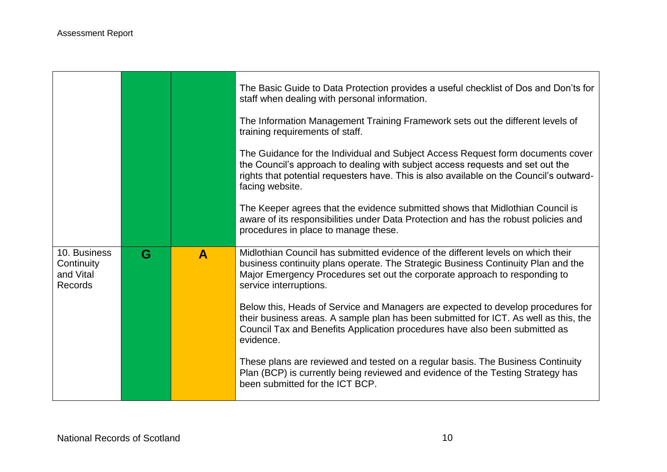T

|                                                           |   |              | The Basic Guide to Data Protection provides a useful checklist of Dos and Don'ts for<br>staff when dealing with personal information.                                                                                                                                           |
|-----------------------------------------------------------|---|--------------|---------------------------------------------------------------------------------------------------------------------------------------------------------------------------------------------------------------------------------------------------------------------------------|
|                                                           |   |              | The Information Management Training Framework sets out the different levels of<br>training requirements of staff.                                                                                                                                                               |
|                                                           |   |              | The Guidance for the Individual and Subject Access Request form documents cover<br>the Council's approach to dealing with subject access requests and set out the<br>rights that potential requesters have. This is also available on the Council's outward-<br>facing website. |
|                                                           |   |              | The Keeper agrees that the evidence submitted shows that Midlothian Council is<br>aware of its responsibilities under Data Protection and has the robust policies and<br>procedures in place to manage these.                                                                   |
| 10. Business<br>Continuity<br>and Vital<br><b>Records</b> | G | $\mathbf{A}$ | Midlothian Council has submitted evidence of the different levels on which their<br>business continuity plans operate. The Strategic Business Continuity Plan and the<br>Major Emergency Procedures set out the corporate approach to responding to<br>service interruptions.   |
|                                                           |   |              | Below this, Heads of Service and Managers are expected to develop procedures for                                                                                                                                                                                                |
|                                                           |   |              | their business areas. A sample plan has been submitted for ICT. As well as this, the<br>Council Tax and Benefits Application procedures have also been submitted as<br>evidence.                                                                                                |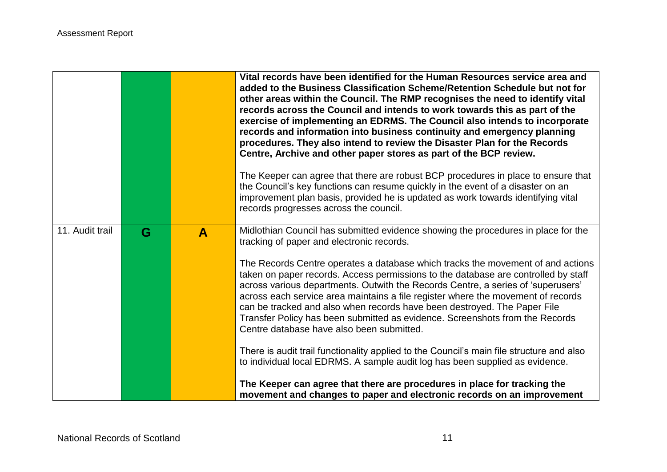|                 |   |              | Vital records have been identified for the Human Resources service area and<br>added to the Business Classification Scheme/Retention Schedule but not for<br>other areas within the Council. The RMP recognises the need to identify vital<br>records across the Council and intends to work towards this as part of the<br>exercise of implementing an EDRMS. The Council also intends to incorporate<br>records and information into business continuity and emergency planning<br>procedures. They also intend to review the Disaster Plan for the Records<br>Centre, Archive and other paper stores as part of the BCP review.<br>The Keeper can agree that there are robust BCP procedures in place to ensure that<br>the Council's key functions can resume quickly in the event of a disaster on an<br>improvement plan basis, provided he is updated as work towards identifying vital<br>records progresses across the council. |
|-----------------|---|--------------|------------------------------------------------------------------------------------------------------------------------------------------------------------------------------------------------------------------------------------------------------------------------------------------------------------------------------------------------------------------------------------------------------------------------------------------------------------------------------------------------------------------------------------------------------------------------------------------------------------------------------------------------------------------------------------------------------------------------------------------------------------------------------------------------------------------------------------------------------------------------------------------------------------------------------------------|
| 11. Audit trail | G | $\mathbf{A}$ | Midlothian Council has submitted evidence showing the procedures in place for the<br>tracking of paper and electronic records.<br>The Records Centre operates a database which tracks the movement of and actions<br>taken on paper records. Access permissions to the database are controlled by staff<br>across various departments. Outwith the Records Centre, a series of 'superusers'<br>across each service area maintains a file register where the movement of records<br>can be tracked and also when records have been destroyed. The Paper File<br>Transfer Policy has been submitted as evidence. Screenshots from the Records<br>Centre database have also been submitted.<br>There is audit trail functionality applied to the Council's main file structure and also<br>to individual local EDRMS. A sample audit log has been supplied as evidence.                                                                     |
|                 |   |              | The Keeper can agree that there are procedures in place for tracking the<br>movement and changes to paper and electronic records on an improvement                                                                                                                                                                                                                                                                                                                                                                                                                                                                                                                                                                                                                                                                                                                                                                                       |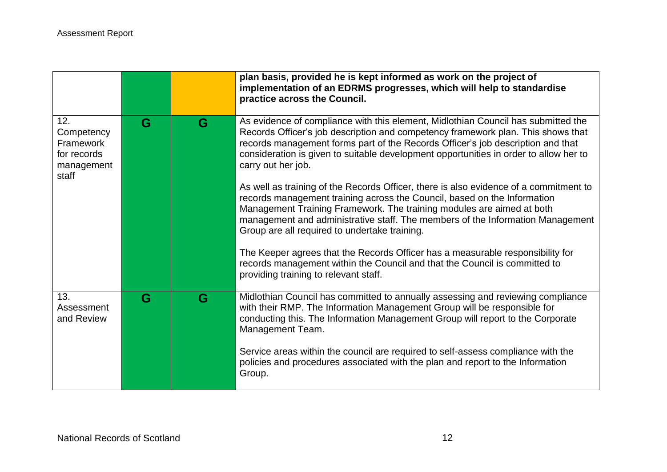|                                                                      |   |   | plan basis, provided he is kept informed as work on the project of<br>implementation of an EDRMS progresses, which will help to standardise<br>practice across the Council.                                                                                                                                                                                                   |
|----------------------------------------------------------------------|---|---|-------------------------------------------------------------------------------------------------------------------------------------------------------------------------------------------------------------------------------------------------------------------------------------------------------------------------------------------------------------------------------|
| 12.<br>Competency<br>Framework<br>for records<br>management<br>staff | G | G | As evidence of compliance with this element, Midlothian Council has submitted the<br>Records Officer's job description and competency framework plan. This shows that<br>records management forms part of the Records Officer's job description and that<br>consideration is given to suitable development opportunities in order to allow her to<br>carry out her job.       |
|                                                                      |   |   | As well as training of the Records Officer, there is also evidence of a commitment to<br>records management training across the Council, based on the Information<br>Management Training Framework. The training modules are aimed at both<br>management and administrative staff. The members of the Information Management<br>Group are all required to undertake training. |
|                                                                      |   |   | The Keeper agrees that the Records Officer has a measurable responsibility for<br>records management within the Council and that the Council is committed to<br>providing training to relevant staff.                                                                                                                                                                         |
| 13.<br>Assessment<br>and Review                                      | G | G | Midlothian Council has committed to annually assessing and reviewing compliance<br>with their RMP. The Information Management Group will be responsible for<br>conducting this. The Information Management Group will report to the Corporate<br>Management Team.                                                                                                             |
|                                                                      |   |   | Service areas within the council are required to self-assess compliance with the<br>policies and procedures associated with the plan and report to the Information<br>Group.                                                                                                                                                                                                  |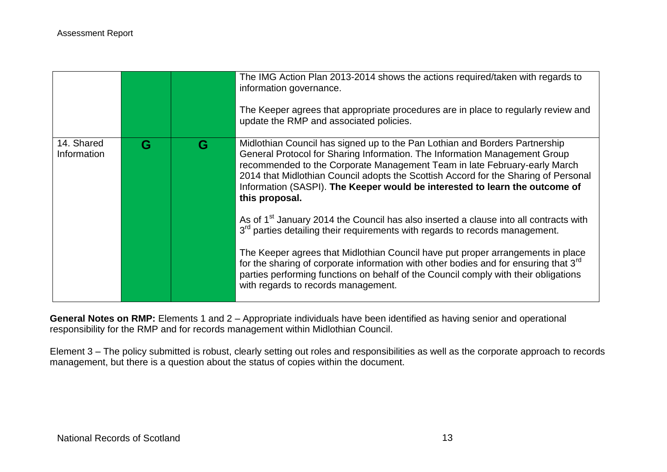|                           |   |   | The IMG Action Plan 2013-2014 shows the actions required/taken with regards to<br>information governance.<br>The Keeper agrees that appropriate procedures are in place to regularly review and<br>update the RMP and associated policies.                                                                                                                                                                                                                                                                         |
|---------------------------|---|---|--------------------------------------------------------------------------------------------------------------------------------------------------------------------------------------------------------------------------------------------------------------------------------------------------------------------------------------------------------------------------------------------------------------------------------------------------------------------------------------------------------------------|
| 14. Shared<br>Information | G | G | Midlothian Council has signed up to the Pan Lothian and Borders Partnership<br>General Protocol for Sharing Information. The Information Management Group<br>recommended to the Corporate Management Team in late February-early March<br>2014 that Midlothian Council adopts the Scottish Accord for the Sharing of Personal<br>Information (SASPI). The Keeper would be interested to learn the outcome of<br>this proposal.                                                                                     |
|                           |   |   | As of 1 <sup>st</sup> January 2014 the Council has also inserted a clause into all contracts with<br>3 <sup>rd</sup> parties detailing their requirements with regards to records management.<br>The Keeper agrees that Midlothian Council have put proper arrangements in place<br>for the sharing of corporate information with other bodies and for ensuring that 3 <sup>rd</sup><br>parties performing functions on behalf of the Council comply with their obligations<br>with regards to records management. |

**General Notes on RMP:** Elements 1 and 2 – Appropriate individuals have been identified as having senior and operational responsibility for the RMP and for records management within Midlothian Council.

Element 3 – The policy submitted is robust, clearly setting out roles and responsibilities as well as the corporate approach to records management, but there is a question about the status of copies within the document.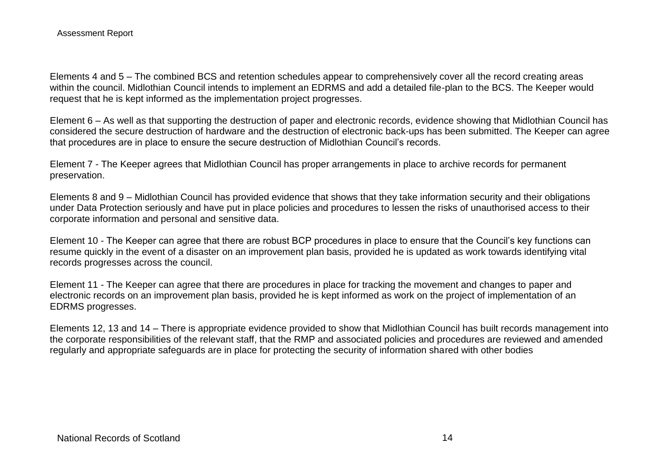Elements 4 and 5 – The combined BCS and retention schedules appear to comprehensively cover all the record creating areas within the council. Midlothian Council intends to implement an EDRMS and add a detailed file-plan to the BCS. The Keeper would request that he is kept informed as the implementation project progresses.

Element 6 – As well as that supporting the destruction of paper and electronic records, evidence showing that Midlothian Council has considered the secure destruction of hardware and the destruction of electronic back-ups has been submitted. The Keeper can agree that procedures are in place to ensure the secure destruction of Midlothian Council's records.

Element 7 - The Keeper agrees that Midlothian Council has proper arrangements in place to archive records for permanent preservation.

Elements 8 and 9 – Midlothian Council has provided evidence that shows that they take information security and their obligations under Data Protection seriously and have put in place policies and procedures to lessen the risks of unauthorised access to their corporate information and personal and sensitive data.

Element 10 - The Keeper can agree that there are robust BCP procedures in place to ensure that the Council's key functions can resume quickly in the event of a disaster on an improvement plan basis, provided he is updated as work towards identifying vital records progresses across the council.

Element 11 - The Keeper can agree that there are procedures in place for tracking the movement and changes to paper and electronic records on an improvement plan basis, provided he is kept informed as work on the project of implementation of an EDRMS progresses.

Elements 12, 13 and 14 – There is appropriate evidence provided to show that Midlothian Council has built records management into the corporate responsibilities of the relevant staff, that the RMP and associated policies and procedures are reviewed and amended regularly and appropriate safeguards are in place for protecting the security of information shared with other bodies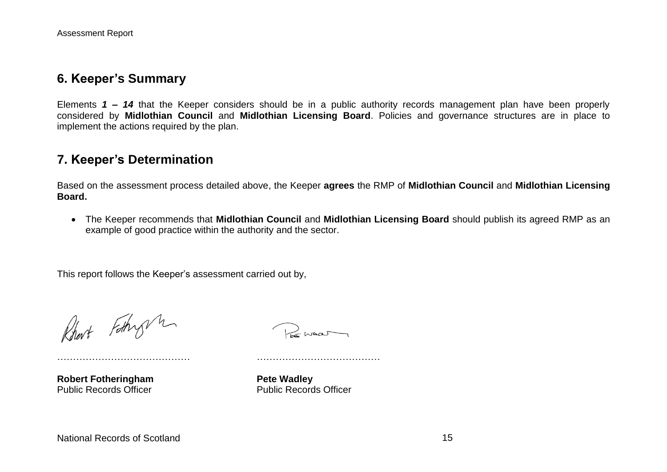#### **6. Keeper's Summary**

Elements *1 – 14* that the Keeper considers should be in a public authority records management plan have been properly considered by **Midlothian Council** and **Midlothian Licensing Board**. Policies and governance structures are in place to implement the actions required by the plan.

### **7. Keeper's Determination**

Based on the assessment process detailed above, the Keeper **agrees** the RMP of **Midlothian Council** and **Midlothian Licensing Board.**

 The Keeper recommends that **Midlothian Council** and **Midlothian Licensing Board** should publish its agreed RMP as an example of good practice within the authority and the sector.

This report follows the Keeper's assessment carried out by,

…………………………………… …………………………………

Rhort Fothy h

Remar

**Robert Fotheringham**<br> **Public Records Officer**<br> **Public Records Officer** 

**Public Records Officer**